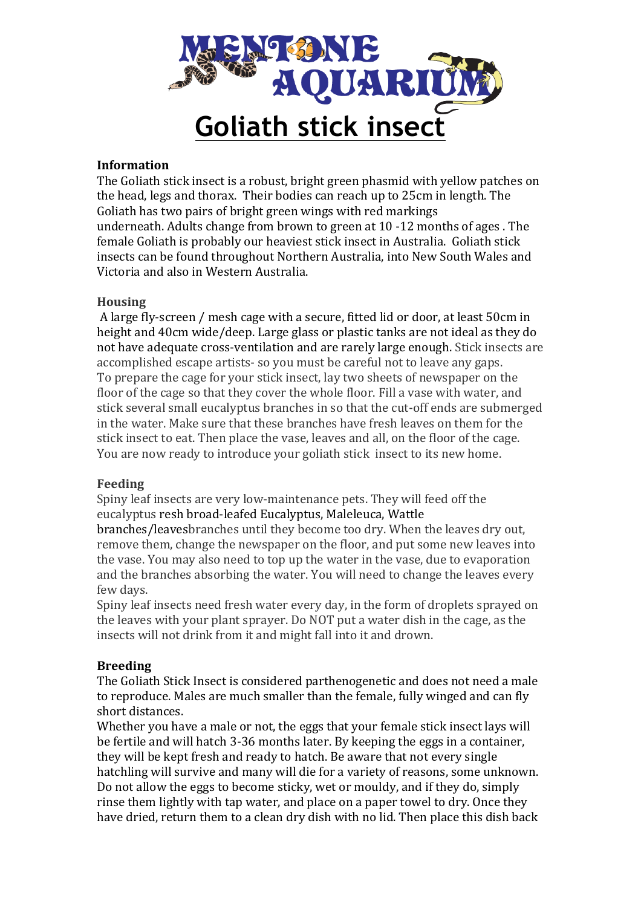

## **Information**

The Goliath stick insect is a robust, bright green phasmid with yellow patches on the head, legs and thorax. Their bodies can reach up to 25cm in length. The Goliath has two pairs of bright green wings with red markings underneath. Adults change from brown to green at 10 -12 months of ages. The female Goliath is probably our heaviest stick insect in Australia. Goliath stick insects can be found throughout Northern Australia, into New South Wales and Victoria and also in Western Australia.

## **Housing**

A large fly-screen / mesh cage with a secure, fitted lid or door, at least 50cm in height and 40cm wide/deep. Large glass or plastic tanks are not ideal as they do not have adequate cross-ventilation and are rarely large enough. Stick insects are accomplished escape artists- so you must be careful not to leave any gaps. To prepare the cage for your stick insect, lay two sheets of newspaper on the floor of the cage so that they cover the whole floor. Fill a vase with water, and stick several small eucalyptus branches in so that the cut-off ends are submerged in the water. Make sure that these branches have fresh leaves on them for the stick insect to eat. Then place the vase, leaves and all, on the floor of the cage. You are now ready to introduce your goliath stick insect to its new home.

# **Feeding**

Spiny leaf insects are very low-maintenance pets. They will feed off the eucalyptus resh broad-leafed Eucalyptus, Maleleuca, Wattle

branches/leavesbranches until they become too dry. When the leaves dry out, remove them, change the newspaper on the floor, and put some new leaves into the vase. You may also need to top up the water in the vase, due to evaporation and the branches absorbing the water. You will need to change the leaves every few days.

Spiny leaf insects need fresh water every day, in the form of droplets sprayed on the leaves with your plant sprayer. Do NOT put a water dish in the cage, as the insects will not drink from it and might fall into it and drown.

# **Breeding**

The Goliath Stick Insect is considered parthenogenetic and does not need a male to reproduce. Males are much smaller than the female, fully winged and can fly short distances.

Whether you have a male or not, the eggs that your female stick insect lays will be fertile and will hatch 3-36 months later. By keeping the eggs in a container, they will be kept fresh and ready to hatch. Be aware that not every single hatchling will survive and many will die for a variety of reasons, some unknown. Do not allow the eggs to become sticky, wet or mouldy, and if they do, simply rinse them lightly with tap water, and place on a paper towel to dry. Once they have dried, return them to a clean dry dish with no lid. Then place this dish back